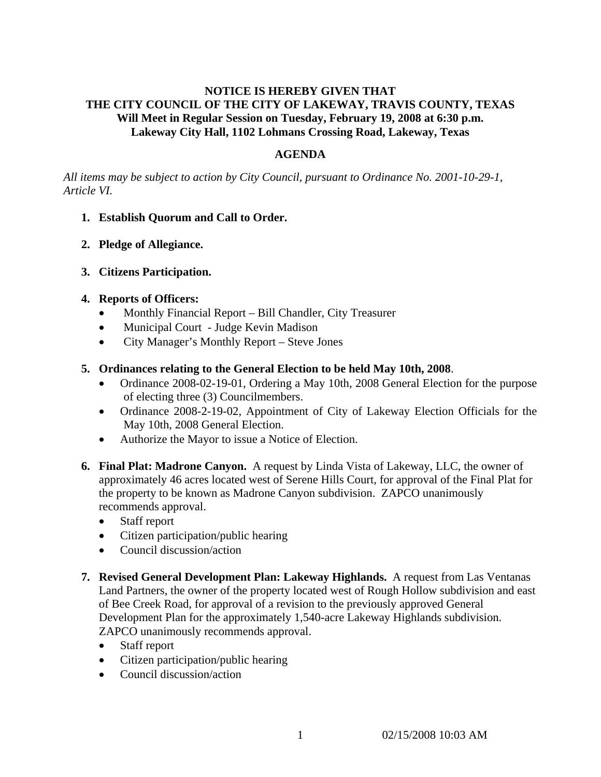# **NOTICE IS HEREBY GIVEN THAT THE CITY COUNCIL OF THE CITY OF LAKEWAY, TRAVIS COUNTY, TEXAS Will Meet in Regular Session on Tuesday, February 19, 2008 at 6:30 p.m. Lakeway City Hall, 1102 Lohmans Crossing Road, Lakeway, Texas**

# **AGENDA**

*All items may be subject to action by City Council, pursuant to Ordinance No. 2001-10-29-1, Article VI.* 

- **1. Establish Quorum and Call to Order.**
- **2. Pledge of Allegiance.**
- **3. Citizens Participation.**

## **4. Reports of Officers:**

- Monthly Financial Report Bill Chandler, City Treasurer
- Municipal Court Judge Kevin Madison
- City Manager's Monthly Report Steve Jones
- **5. Ordinances relating to the General Election to be held May 10th, 2008**.
	- Ordinance 2008-02-19-01, Ordering a May 10th, 2008 General Election for the purpose of electing three (3) Councilmembers.
	- Ordinance 2008-2-19-02, Appointment of City of Lakeway Election Officials for the May 10th, 2008 General Election.
	- Authorize the Mayor to issue a Notice of Election.
- **6. Final Plat: Madrone Canyon.** A request by Linda Vista of Lakeway, LLC, the owner of approximately 46 acres located west of Serene Hills Court, for approval of the Final Plat for the property to be known as Madrone Canyon subdivision. ZAPCO unanimously recommends approval.
	- Staff report
	- Citizen participation/public hearing
	- Council discussion/action
- **7. Revised General Development Plan: Lakeway Highlands.** A request from Las Ventanas Land Partners, the owner of the property located west of Rough Hollow subdivision and east of Bee Creek Road, for approval of a revision to the previously approved General Development Plan for the approximately 1,540-acre Lakeway Highlands subdivision. ZAPCO unanimously recommends approval.
	- Staff report
	- Citizen participation/public hearing
	- Council discussion/action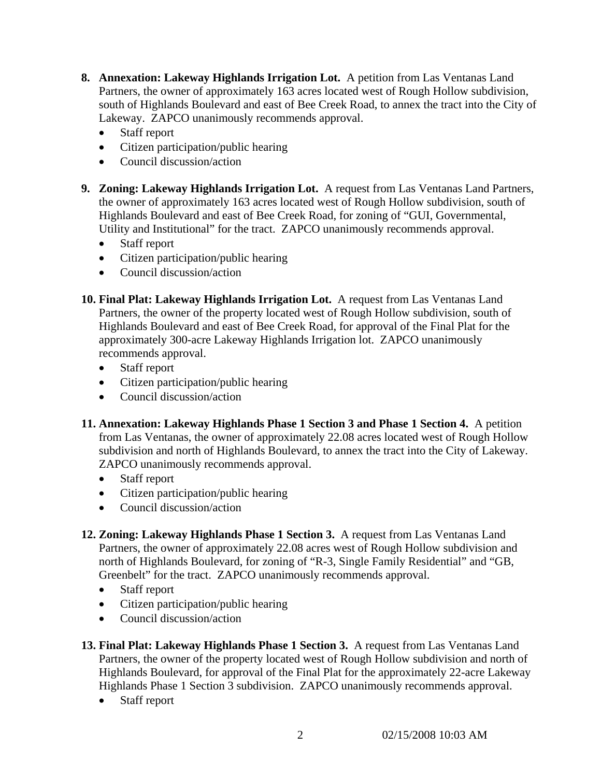- **8. Annexation: Lakeway Highlands Irrigation Lot.** A petition from Las Ventanas Land Partners, the owner of approximately 163 acres located west of Rough Hollow subdivision, south of Highlands Boulevard and east of Bee Creek Road, to annex the tract into the City of Lakeway. ZAPCO unanimously recommends approval.
	- Staff report
	- Citizen participation/public hearing
	- Council discussion/action
- **9. Zoning: Lakeway Highlands Irrigation Lot.** A request from Las Ventanas Land Partners, the owner of approximately 163 acres located west of Rough Hollow subdivision, south of Highlands Boulevard and east of Bee Creek Road, for zoning of "GUI, Governmental, Utility and Institutional" for the tract. ZAPCO unanimously recommends approval.
	- Staff report
	- Citizen participation/public hearing
	- Council discussion/action
- **10. Final Plat: Lakeway Highlands Irrigation Lot.** A request from Las Ventanas Land Partners, the owner of the property located west of Rough Hollow subdivision, south of Highlands Boulevard and east of Bee Creek Road, for approval of the Final Plat for the approximately 300-acre Lakeway Highlands Irrigation lot. ZAPCO unanimously recommends approval.
	- Staff report
	- Citizen participation/public hearing
	- Council discussion/action
- **11. Annexation: Lakeway Highlands Phase 1 Section 3 and Phase 1 Section 4.** A petition from Las Ventanas, the owner of approximately 22.08 acres located west of Rough Hollow subdivision and north of Highlands Boulevard, to annex the tract into the City of Lakeway. ZAPCO unanimously recommends approval.
	- Staff report
	- Citizen participation/public hearing
	- Council discussion/action
- **12. Zoning: Lakeway Highlands Phase 1 Section 3.** A request from Las Ventanas Land Partners, the owner of approximately 22.08 acres west of Rough Hollow subdivision and north of Highlands Boulevard, for zoning of "R-3, Single Family Residential" and "GB, Greenbelt" for the tract. ZAPCO unanimously recommends approval.
	- Staff report
	- Citizen participation/public hearing
	- Council discussion/action
- **13. Final Plat: Lakeway Highlands Phase 1 Section 3.** A request from Las Ventanas Land Partners, the owner of the property located west of Rough Hollow subdivision and north of Highlands Boulevard, for approval of the Final Plat for the approximately 22-acre Lakeway Highlands Phase 1 Section 3 subdivision. ZAPCO unanimously recommends approval.
	- Staff report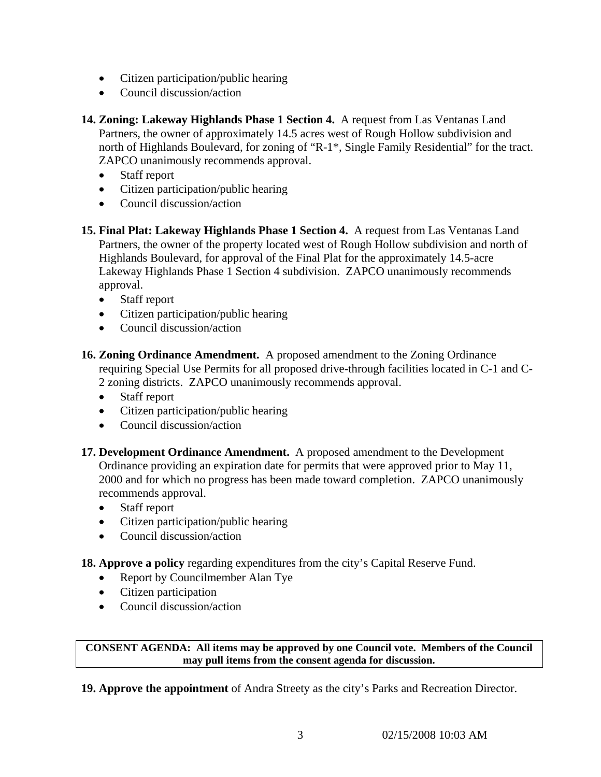- Citizen participation/public hearing
- Council discussion/action

**14. Zoning: Lakeway Highlands Phase 1 Section 4.** A request from Las Ventanas Land Partners, the owner of approximately 14.5 acres west of Rough Hollow subdivision and north of Highlands Boulevard, for zoning of "R-1\*, Single Family Residential" for the tract. ZAPCO unanimously recommends approval.

- Staff report
- Citizen participation/public hearing
- Council discussion/action
- **15. Final Plat: Lakeway Highlands Phase 1 Section 4.** A request from Las Ventanas Land Partners, the owner of the property located west of Rough Hollow subdivision and north of Highlands Boulevard, for approval of the Final Plat for the approximately 14.5-acre Lakeway Highlands Phase 1 Section 4 subdivision. ZAPCO unanimously recommends approval.
	- Staff report
	- Citizen participation/public hearing
	- Council discussion/action
- **16. Zoning Ordinance Amendment.** A proposed amendment to the Zoning Ordinance requiring Special Use Permits for all proposed drive-through facilities located in C-1 and C-2 zoning districts. ZAPCO unanimously recommends approval.
	- Staff report
	- Citizen participation/public hearing
	- Council discussion/action
- **17. Development Ordinance Amendment.** A proposed amendment to the Development Ordinance providing an expiration date for permits that were approved prior to May 11, 2000 and for which no progress has been made toward completion. ZAPCO unanimously recommends approval.
	- Staff report
	- Citizen participation/public hearing
	- Council discussion/action
- **18. Approve a policy** regarding expenditures from the city's Capital Reserve Fund.
	- Report by Councilmember Alan Tye
	- Citizen participation
	- Council discussion/action

**CONSENT AGENDA: All items may be approved by one Council vote. Members of the Council may pull items from the consent agenda for discussion.** 

**19. Approve the appointment** of Andra Streety as the city's Parks and Recreation Director.